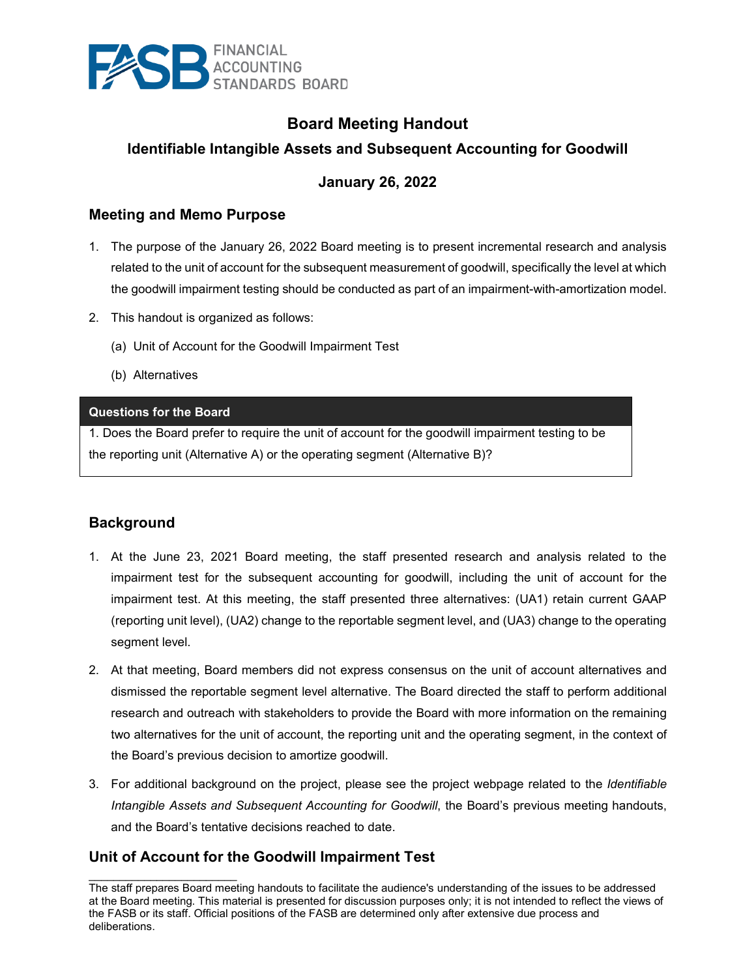

# **Board Meeting Handout**

### **Identifiable Intangible Assets and Subsequent Accounting for Goodwill**

#### **January 26, 2022**

#### **Meeting and Memo Purpose**

- 1. The purpose of the January 26, 2022 Board meeting is to present incremental research and analysis related to the unit of account for the subsequent measurement of goodwill, specifically the level at which the goodwill impairment testing should be conducted as part of an impairment-with-amortization model.
- 2. This handout is organized as follows:
	- (a) Unit of Account for the Goodwill Impairment Test
	- (b) Alternatives

#### **Questions for the Board**

1. Does the Board prefer to require the unit of account for the goodwill impairment testing to be the reporting unit (Alternative A) or the operating segment (Alternative B)?

#### **Background**

- 1. At the June 23, 2021 Board meeting, the staff presented research and analysis related to the impairment test for the subsequent accounting for goodwill, including the unit of account for the impairment test. At this meeting, the staff presented three alternatives: (UA1) retain current GAAP (reporting unit level), (UA2) change to the reportable segment level, and (UA3) change to the operating segment level.
- 2. At that meeting, Board members did not express consensus on the unit of account alternatives and dismissed the reportable segment level alternative. The Board directed the staff to perform additional research and outreach with stakeholders to provide the Board with more information on the remaining two alternatives for the unit of account, the reporting unit and the operating segment, in the context of the Board's previous decision to amortize goodwill.
- 3. For additional background on the project, please see the project webpage related to the *Identifiable Intangible Assets and Subsequent Accounting for Goodwill*, the Board's previous meeting handouts, and the Board's tentative decisions reached to date.

#### **Unit of Account for the Goodwill Impairment Test**

 $\overline{\phantom{a}}$  , and the set of the set of the set of the set of the set of the set of the set of the set of the set of the set of the set of the set of the set of the set of the set of the set of the set of the set of the s The staff prepares Board meeting handouts to facilitate the audience's understanding of the issues to be addressed at the Board meeting. This material is presented for discussion purposes only; it is not intended to reflect the views of the FASB or its staff. Official positions of the FASB are determined only after extensive due process and deliberations.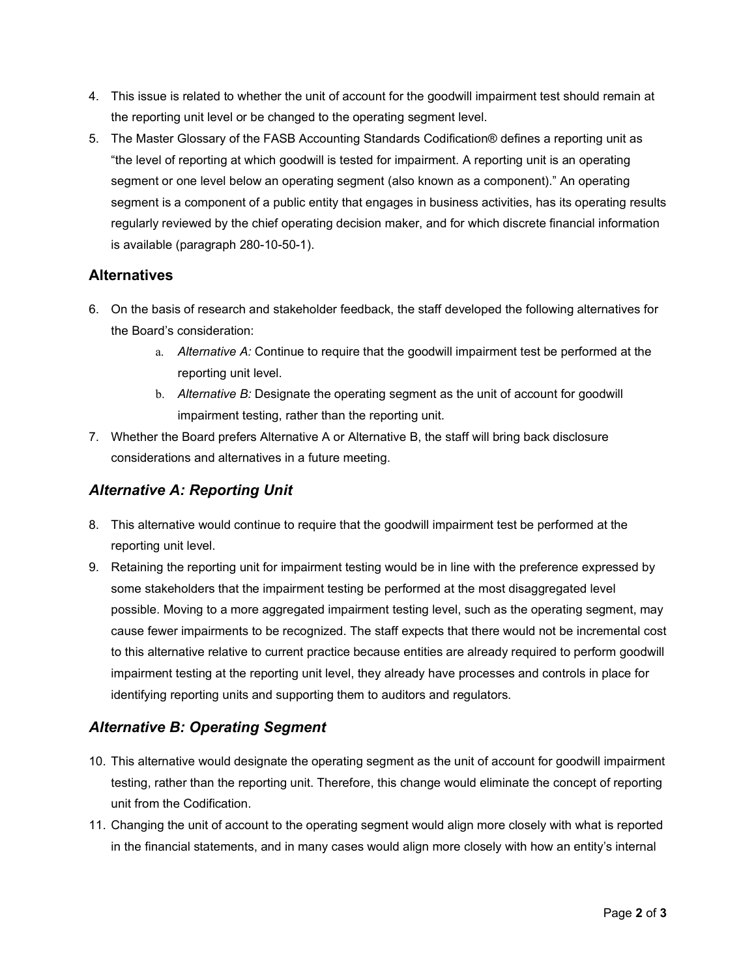- 4. This issue is related to whether the unit of account for the goodwill impairment test should remain at the reporting unit level or be changed to the operating segment level.
- 5. The Master Glossary of the FASB Accounting Standards Codification® defines a reporting unit as "the level of reporting at which goodwill is tested for impairment. A reporting unit is an operating segment or one level below an operating segment (also known as a component)." An operating segment is a component of a public entity that engages in business activities, has its operating results regularly reviewed by the chief operating decision maker, and for which discrete financial information is available (paragraph 280-10-50-1).

#### **Alternatives**

- 6. On the basis of research and stakeholder feedback, the staff developed the following alternatives for the Board's consideration:
	- a. *Alternative A:* Continue to require that the goodwill impairment test be performed at the reporting unit level.
	- b. *Alternative B:* Designate the operating segment as the unit of account for goodwill impairment testing, rather than the reporting unit.
- 7. Whether the Board prefers Alternative A or Alternative B, the staff will bring back disclosure considerations and alternatives in a future meeting.

# *Alternative A: Reporting Unit*

- 8. This alternative would continue to require that the goodwill impairment test be performed at the reporting unit level.
- 9. Retaining the reporting unit for impairment testing would be in line with the preference expressed by some stakeholders that the impairment testing be performed at the most disaggregated level possible. Moving to a more aggregated impairment testing level, such as the operating segment, may cause fewer impairments to be recognized. The staff expects that there would not be incremental cost to this alternative relative to current practice because entities are already required to perform goodwill impairment testing at the reporting unit level, they already have processes and controls in place for identifying reporting units and supporting them to auditors and regulators.

# *Alternative B: Operating Segment*

- 10. This alternative would designate the operating segment as the unit of account for goodwill impairment testing, rather than the reporting unit. Therefore, this change would eliminate the concept of reporting unit from the Codification.
- 11. Changing the unit of account to the operating segment would align more closely with what is reported in the financial statements, and in many cases would align more closely with how an entity's internal